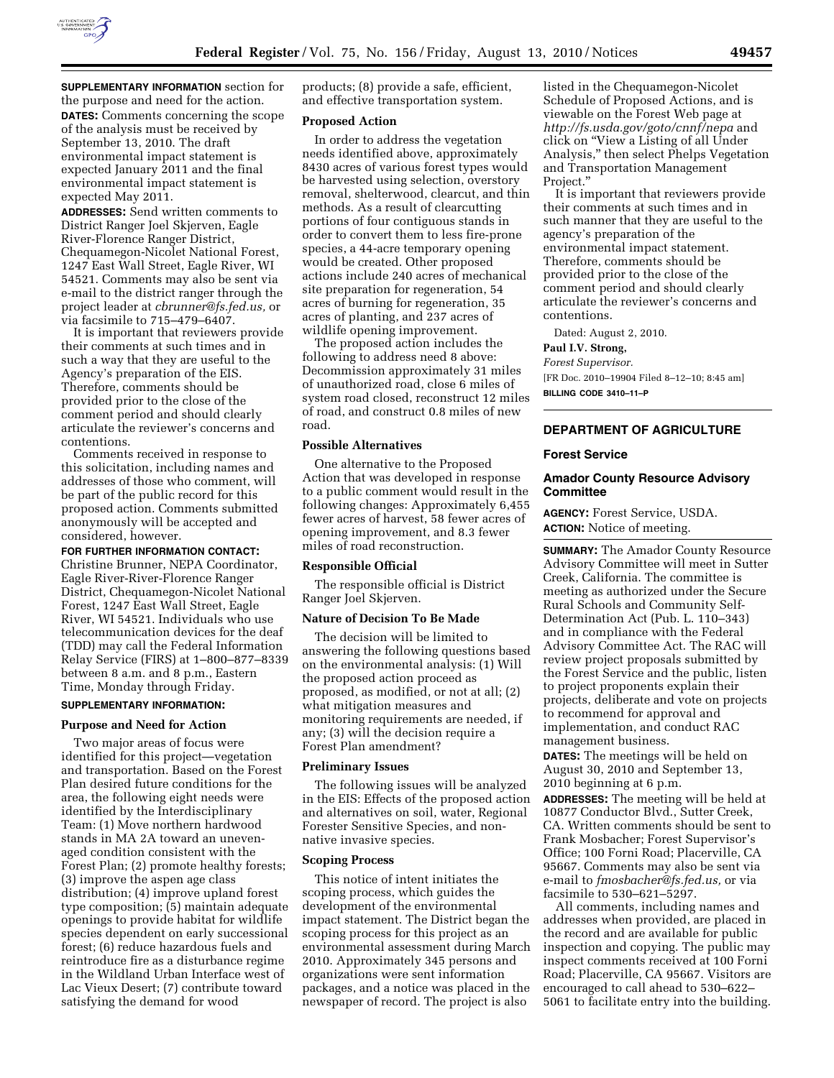

**SUPPLEMENTARY INFORMATION** section for the purpose and need for the action. **DATES:** Comments concerning the scope of the analysis must be received by September 13, 2010. The draft environmental impact statement is expected January 2011 and the final environmental impact statement is expected May 2011.

**ADDRESSES:** Send written comments to District Ranger Joel Skjerven, Eagle River-Florence Ranger District, Chequamegon-Nicolet National Forest, 1247 East Wall Street, Eagle River, WI 54521. Comments may also be sent via e-mail to the district ranger through the project leader at *[cbrunner@fs.fed.us,](mailto:cbrunner@fs.fed.us)* or via facsimile to 715–479–6407.

It is important that reviewers provide their comments at such times and in such a way that they are useful to the Agency's preparation of the EIS. Therefore, comments should be provided prior to the close of the comment period and should clearly articulate the reviewer's concerns and contentions.

Comments received in response to this solicitation, including names and addresses of those who comment, will be part of the public record for this proposed action. Comments submitted anonymously will be accepted and considered, however.

**FOR FURTHER INFORMATION CONTACT:** 

Christine Brunner, NEPA Coordinator, Eagle River-River-Florence Ranger District, Chequamegon-Nicolet National Forest, 1247 East Wall Street, Eagle River, WI 54521. Individuals who use telecommunication devices for the deaf (TDD) may call the Federal Information Relay Service (FIRS) at 1–800–877–8339 between 8 a.m. and 8 p.m., Eastern Time, Monday through Friday.

## **SUPPLEMENTARY INFORMATION:**

#### **Purpose and Need for Action**

Two major areas of focus were identified for this project—vegetation and transportation. Based on the Forest Plan desired future conditions for the area, the following eight needs were identified by the Interdisciplinary Team: (1) Move northern hardwood stands in MA 2A toward an unevenaged condition consistent with the Forest Plan; (2) promote healthy forests; (3) improve the aspen age class distribution; (4) improve upland forest type composition; (5) maintain adequate openings to provide habitat for wildlife species dependent on early successional forest; (6) reduce hazardous fuels and reintroduce fire as a disturbance regime in the Wildland Urban Interface west of Lac Vieux Desert; (7) contribute toward satisfying the demand for wood

products; (8) provide a safe, efficient, and effective transportation system.

### **Proposed Action**

In order to address the vegetation needs identified above, approximately 8430 acres of various forest types would be harvested using selection, overstory removal, shelterwood, clearcut, and thin methods. As a result of clearcutting portions of four contiguous stands in order to convert them to less fire-prone species, a 44-acre temporary opening would be created. Other proposed actions include 240 acres of mechanical site preparation for regeneration, 54 acres of burning for regeneration, 35 acres of planting, and 237 acres of wildlife opening improvement.

The proposed action includes the following to address need 8 above: Decommission approximately 31 miles of unauthorized road, close 6 miles of system road closed, reconstruct 12 miles of road, and construct 0.8 miles of new road.

### **Possible Alternatives**

One alternative to the Proposed Action that was developed in response to a public comment would result in the following changes: Approximately 6,455 fewer acres of harvest, 58 fewer acres of opening improvement, and 8.3 fewer miles of road reconstruction.

#### **Responsible Official**

The responsible official is District Ranger Joel Skjerven.

#### **Nature of Decision To Be Made**

The decision will be limited to answering the following questions based on the environmental analysis: (1) Will the proposed action proceed as proposed, as modified, or not at all; (2) what mitigation measures and monitoring requirements are needed, if any; (3) will the decision require a Forest Plan amendment?

# **Preliminary Issues**

The following issues will be analyzed in the EIS: Effects of the proposed action and alternatives on soil, water, Regional Forester Sensitive Species, and nonnative invasive species.

#### **Scoping Process**

This notice of intent initiates the scoping process, which guides the development of the environmental impact statement. The District began the scoping process for this project as an environmental assessment during March 2010. Approximately 345 persons and organizations were sent information packages, and a notice was placed in the newspaper of record. The project is also

listed in the Chequamegon-Nicolet Schedule of Proposed Actions, and is viewable on the Forest Web page at *<http://fs.usda.gov/goto/cnnf/nepa>*and click on ''View a Listing of all Under Analysis,'' then select Phelps Vegetation and Transportation Management Project.''

It is important that reviewers provide their comments at such times and in such manner that they are useful to the agency's preparation of the environmental impact statement. Therefore, comments should be provided prior to the close of the comment period and should clearly articulate the reviewer's concerns and contentions.

Dated: August 2, 2010.

### **Paul I.V. Strong,**

*Forest Supervisor.* 

[FR Doc. 2010–19904 Filed 8–12–10; 8:45 am] **BILLING CODE 3410–11–P** 

### **DEPARTMENT OF AGRICULTURE**

#### **Forest Service**

### **Amador County Resource Advisory Committee**

**AGENCY:** Forest Service, USDA. **ACTION:** Notice of meeting.

**SUMMARY:** The Amador County Resource Advisory Committee will meet in Sutter Creek, California. The committee is meeting as authorized under the Secure Rural Schools and Community Self-Determination Act (Pub. L. 110–343) and in compliance with the Federal Advisory Committee Act. The RAC will review project proposals submitted by the Forest Service and the public, listen to project proponents explain their projects, deliberate and vote on projects to recommend for approval and implementation, and conduct RAC management business.

**DATES:** The meetings will be held on August 30, 2010 and September 13, 2010 beginning at 6 p.m.

**ADDRESSES:** The meeting will be held at 10877 Conductor Blvd., Sutter Creek, CA. Written comments should be sent to Frank Mosbacher; Forest Supervisor's Office; 100 Forni Road; Placerville, CA 95667. Comments may also be sent via e-mail to *[fmosbacher@fs.fed.us,](mailto:fmosbacher@fs.fed.us)* or via facsimile to 530–621–5297.

All comments, including names and addresses when provided, are placed in the record and are available for public inspection and copying. The public may inspect comments received at 100 Forni Road; Placerville, CA 95667. Visitors are encouraged to call ahead to 530–622– 5061 to facilitate entry into the building.